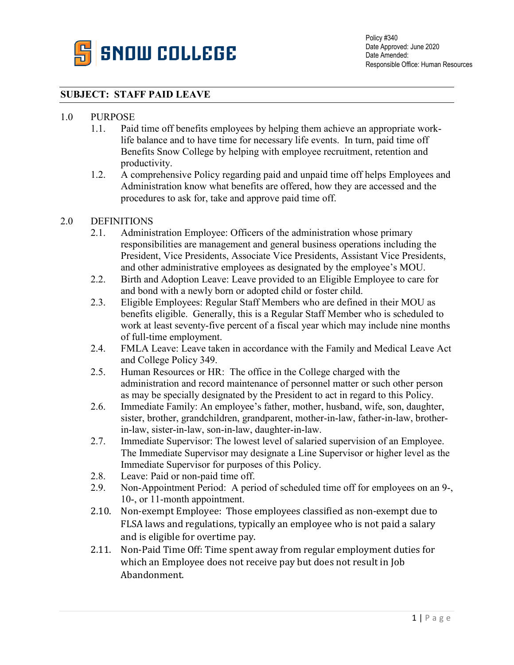

## **SUBJECT: STAFF PAID LEAVE**

### 1.0 PURPOSE

- 1.1. Paid time off benefits employees by helping them achieve an appropriate worklife balance and to have time for necessary life events. In turn, paid time off Benefits Snow College by helping with employee recruitment, retention and productivity.
- 1.2. A comprehensive Policy regarding paid and unpaid time off helps Employees and Administration know what benefits are offered, how they are accessed and the procedures to ask for, take and approve paid time off.

#### 2.0 DEFINITIONS

- 2.1. Administration Employee: Officers of the administration whose primary responsibilities are management and general business operations including the President, Vice Presidents, Associate Vice Presidents, Assistant Vice Presidents, and other administrative employees as designated by the employee's MOU.
- 2.2. Birth and Adoption Leave: Leave provided to an Eligible Employee to care for and bond with a newly born or adopted child or foster child.
- 2.3. Eligible Employees: Regular Staff Members who are defined in their MOU as benefits eligible. Generally, this is a Regular Staff Member who is scheduled to work at least seventy-five percent of a fiscal year which may include nine months of full-time employment.
- 2.4. FMLA Leave: Leave taken in accordance with the Family and Medical Leave Act and College Policy 349.
- 2.5. Human Resources or HR: The office in the College charged with the administration and record maintenance of personnel matter or such other person as may be specially designated by the President to act in regard to this Policy.
- 2.6. Immediate Family: An employee's father, mother, husband, wife, son, daughter, sister, brother, grandchildren, grandparent, mother-in-law, father-in-law, brotherin-law, sister-in-law, son-in-law, daughter-in-law.
- 2.7. Immediate Supervisor: The lowest level of salaried supervision of an Employee. The Immediate Supervisor may designate a Line Supervisor or higher level as the Immediate Supervisor for purposes of this Policy.
- 2.8. Leave: Paid or non-paid time off.
- 2.9. Non-Appointment Period: A period of scheduled time off for employees on an 9-, 10-, or 11-month appointment.
- 2.10. Non-exempt Employee: Those employees classified as non-exempt due to FLSA laws and regulations, typically an employee who is not paid a salary and is eligible for overtime pay.
- 2.11. Non-Paid Time Off: Time spent away from regular employment duties for which an Employee does not receive pay but does not result in Job Abandonment.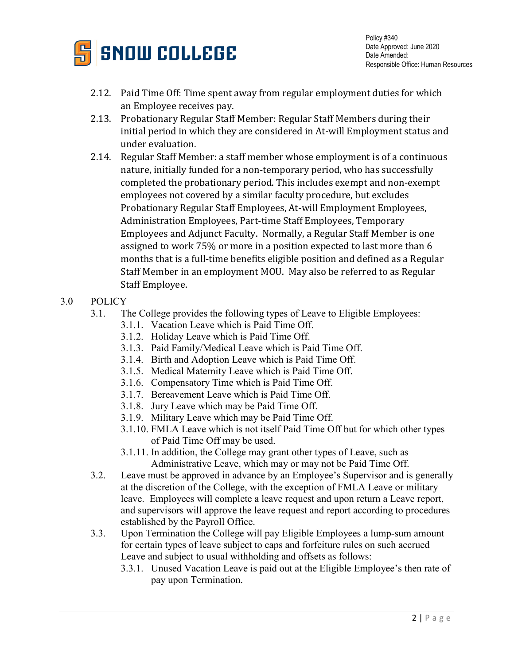

Policy #340 Date Approved: June 2020 Date Amended: Responsible Office: Human Resources

- 2.12. Paid Time Off: Time spent away from regular employment duties for which an Employee receives pay.
- 2.13. Probationary Regular Staff Member: Regular Staff Members during their initial period in which they are considered in At-will Employment status and under evaluation.
- 2.14. Regular Staff Member: a staff member whose employment is of a continuous nature, initially funded for a non-temporary period, who has successfully completed the probationary period. This includes exempt and non-exempt employees not covered by a similar faculty procedure, but excludes Probationary Regular Staff Employees, At-will Employment Employees, Administration Employees, Part-time Staff Employees, Temporary Employees and Adjunct Faculty. Normally, a Regular Staff Member is one assigned to work 75% or more in a position expected to last more than 6 months that is a full-time benefits eligible position and defined as a Regular Staff Member in an employment MOU. May also be referred to as Regular Staff Employee.
- 3.0 POLICY
	- 3.1. The College provides the following types of Leave to Eligible Employees:
		- 3.1.1. Vacation Leave which is Paid Time Off.
		- 3.1.2. Holiday Leave which is Paid Time Off.
		- 3.1.3. Paid Family/Medical Leave which is Paid Time Off.
		- 3.1.4. Birth and Adoption Leave which is Paid Time Off.
		- 3.1.5. Medical Maternity Leave which is Paid Time Off.
		- 3.1.6. Compensatory Time which is Paid Time Off.
		- 3.1.7. Bereavement Leave which is Paid Time Off.
		- 3.1.8. Jury Leave which may be Paid Time Off.
		- 3.1.9. Military Leave which may be Paid Time Off.
		- 3.1.10. FMLA Leave which is not itself Paid Time Off but for which other types of Paid Time Off may be used.
		- 3.1.11. In addition, the College may grant other types of Leave, such as Administrative Leave, which may or may not be Paid Time Off.
	- 3.2. Leave must be approved in advance by an Employee's Supervisor and is generally at the discretion of the College, with the exception of FMLA Leave or military leave. Employees will complete a leave request and upon return a Leave report, and supervisors will approve the leave request and report according to procedures established by the Payroll Office.
	- 3.3. Upon Termination the College will pay Eligible Employees a lump-sum amount for certain types of leave subject to caps and forfeiture rules on such accrued Leave and subject to usual withholding and offsets as follows:
		- 3.3.1. Unused Vacation Leave is paid out at the Eligible Employee's then rate of pay upon Termination.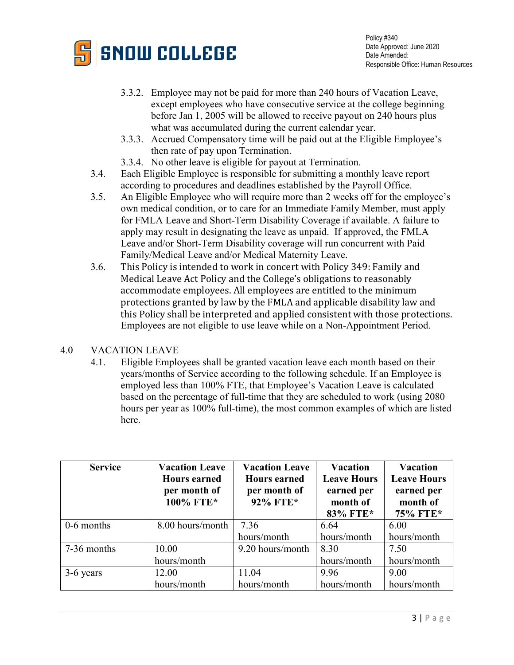

- 3.3.2. Employee may not be paid for more than 240 hours of Vacation Leave, except employees who have consecutive service at the college beginning before Jan 1, 2005 will be allowed to receive payout on 240 hours plus what was accumulated during the current calendar year.
- 3.3.3. Accrued Compensatory time will be paid out at the Eligible Employee's then rate of pay upon Termination.
- 3.3.4. No other leave is eligible for payout at Termination.
- 3.4. Each Eligible Employee is responsible for submitting a monthly leave report according to procedures and deadlines established by the Payroll Office.
- 3.5. An Eligible Employee who will require more than 2 weeks off for the employee's own medical condition, or to care for an Immediate Family Member, must apply for FMLA Leave and Short-Term Disability Coverage if available. A failure to apply may result in designating the leave as unpaid. If approved, the FMLA Leave and/or Short-Term Disability coverage will run concurrent with Paid Family/Medical Leave and/or Medical Maternity Leave.
- 3.6. This Policy is intended to work in concert with Policy 349: Family and Medical Leave Act Policy and the College's obligations to reasonably accommodate employees. All employees are entitled to the minimum protections granted by law by the FMLA and applicable disability law and this Policy shall be interpreted and applied consistent with those protections. Employees are not eligible to use leave while on a Non-Appointment Period.

# 4.0 VACATION LEAVE

4.1. Eligible Employees shall be granted vacation leave each month based on their years/months of Service according to the following schedule. If an Employee is employed less than 100% FTE, that Employee's Vacation Leave is calculated based on the percentage of full-time that they are scheduled to work (using 2080 hours per year as 100% full-time), the most common examples of which are listed here.

| <b>Service</b> | <b>Vacation Leave</b><br><b>Hours earned</b><br>per month of<br>100% FTE* | <b>Vacation Leave</b><br><b>Hours</b> earned<br>per month of<br>92% FTE* | <b>Vacation</b><br><b>Leave Hours</b><br>earned per<br>month of<br>83% FTE* | <b>Vacation</b><br><b>Leave Hours</b><br>earned per<br>month of<br>75% FTE* |
|----------------|---------------------------------------------------------------------------|--------------------------------------------------------------------------|-----------------------------------------------------------------------------|-----------------------------------------------------------------------------|
| 0-6 months     | 8.00 hours/month                                                          | 7.36                                                                     | 6.64                                                                        | 6.00                                                                        |
|                |                                                                           | hours/month                                                              | hours/month                                                                 | hours/month                                                                 |
| 7-36 months    | 10.00                                                                     | 9.20 hours/month                                                         | 8.30                                                                        | 7.50                                                                        |
|                | hours/month                                                               |                                                                          | hours/month                                                                 | hours/month                                                                 |
| 3-6 years      | 12.00                                                                     | 11.04                                                                    | 9.96                                                                        | 9.00                                                                        |
|                | hours/month                                                               | hours/month                                                              | hours/month                                                                 | hours/month                                                                 |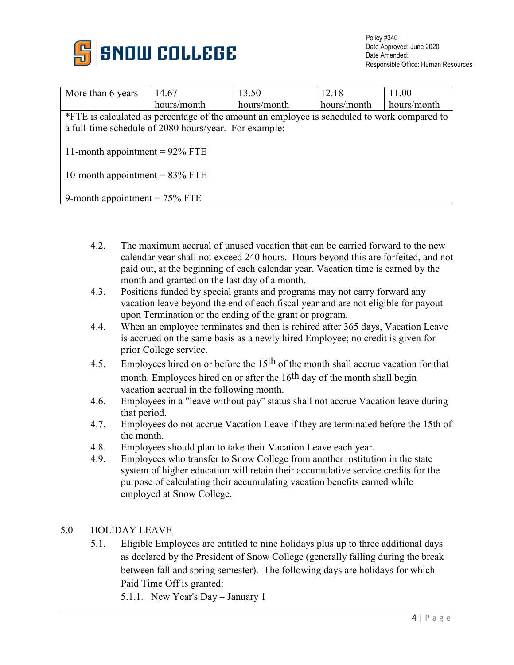

| More than 6 years                                                                           | 14.67       | 13.50       | 12.18       | 11.00       |  |  |
|---------------------------------------------------------------------------------------------|-------------|-------------|-------------|-------------|--|--|
|                                                                                             | hours/month | hours/month | hours/month | hours/month |  |  |
| *FTE is calculated as percentage of the amount an employee is scheduled to work compared to |             |             |             |             |  |  |
| a full-time schedule of 2080 hours/year. For example:                                       |             |             |             |             |  |  |
|                                                                                             |             |             |             |             |  |  |
| 11-month appointment = $92\%$ FTE                                                           |             |             |             |             |  |  |
|                                                                                             |             |             |             |             |  |  |
| 10-month appointment = $83\%$ FTE                                                           |             |             |             |             |  |  |
|                                                                                             |             |             |             |             |  |  |
| 9-month appointment $= 75\%$ FTE                                                            |             |             |             |             |  |  |

- 4.2. The maximum accrual of unused vacation that can be carried forward to the new calendar year shall not exceed 240 hours. Hours beyond this are forfeited, and not paid out, at the beginning of each calendar year. Vacation time is earned by the month and granted on the last day of a month.
- 4.3. Positions funded by special grants and programs may not carry forward any vacation leave beyond the end of each fiscal year and are not eligible for payout upon Termination or the ending of the grant or program.
- 4.4. When an employee terminates and then is rehired after 365 days, Vacation Leave is accrued on the same basis as a newly hired Employee; no credit is given for prior College service.
- 4.5. Employees hired on or before the 15<sup>th</sup> of the month shall accrue vacation for that month. Employees hired on or after the 16<sup>th</sup> day of the month shall begin vacation accrual in the following month.
- 4.6. Employees in a "leave without pay" status shall not accrue Vacation leave during that period.
- 4.7. Employees do not accrue Vacation Leave if they are terminated before the 15th of the month.
- 4.8. Employees should plan to take their Vacation Leave each year.
- 4.9. Employees who transfer to Snow College from another institution in the state system of higher education will retain their accumulative service credits for the purpose of calculating their accumulating vacation benefits earned while employed at Snow College.

# 5.0 HOLIDAY LEAVE

5.1. Eligible Employees are entitled to nine holidays plus up to three additional days as declared by the President of Snow College (generally falling during the break between fall and spring semester). The following days are holidays for which Paid Time Off is granted:

5.1.1. New Year's Day – January 1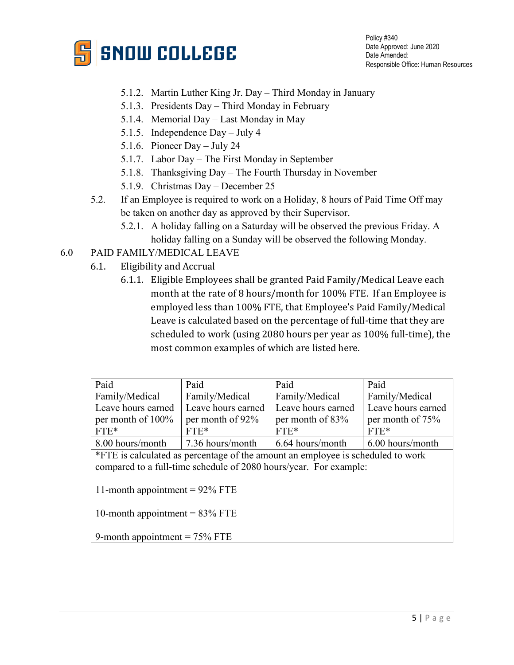

Policy #340 Date Approved: June 2020 Date Amended: Responsible Office: Human Resources

- 5.1.2. Martin Luther King Jr. Day Third Monday in January
- 5.1.3. Presidents Day Third Monday in February
- 5.1.4. Memorial Day Last Monday in May
- 5.1.5. Independence Day July 4
- 5.1.6. Pioneer Day July 24
- 5.1.7. Labor Day The First Monday in September
- 5.1.8. Thanksgiving Day The Fourth Thursday in November
- 5.1.9. Christmas Day December 25
- 5.2. If an Employee is required to work on a Holiday, 8 hours of Paid Time Off may be taken on another day as approved by their Supervisor.
	- 5.2.1. A holiday falling on a Saturday will be observed the previous Friday. A holiday falling on a Sunday will be observed the following Monday.

# 6.0 PAID FAMILY/MEDICAL LEAVE

- 6.1. Eligibility and Accrual
	- 6.1.1. Eligible Employees shall be granted Paid Family/Medical Leave each month at the rate of 8 hours/month for 100% FTE. If an Employee is employed less than 100% FTE, that Employee's Paid Family/Medical Leave is calculated based on the percentage of full-time that they are scheduled to work (using 2080 hours per year as 100% full-time), the most common examples of which are listed here.

| Paid                                                                            | Paid               | Paid               | Paid               |  |  |  |
|---------------------------------------------------------------------------------|--------------------|--------------------|--------------------|--|--|--|
| Family/Medical                                                                  | Family/Medical     | Family/Medical     | Family/Medical     |  |  |  |
| Leave hours earned                                                              | Leave hours earned | Leave hours earned | Leave hours earned |  |  |  |
| per month of 100%                                                               | per month of 92%   | per month of 83%   | per month of 75%   |  |  |  |
| $FTE*$                                                                          | $FTE*$             | $FTE*$             | $FTE*$             |  |  |  |
| 8.00 hours/month                                                                | 7.36 hours/month   | 6.64 hours/month   | 6.00 hours/month   |  |  |  |
| *FTE is calculated as percentage of the amount an employee is scheduled to work |                    |                    |                    |  |  |  |
| compared to a full-time schedule of 2080 hours/year. For example:               |                    |                    |                    |  |  |  |
| 11-month appointment = $92\%$ FTE                                               |                    |                    |                    |  |  |  |
| 10-month appointment = $83\%$ FTE                                               |                    |                    |                    |  |  |  |
|                                                                                 |                    |                    |                    |  |  |  |
| 9-month appointment $= 75\%$ FTE                                                |                    |                    |                    |  |  |  |
|                                                                                 |                    |                    |                    |  |  |  |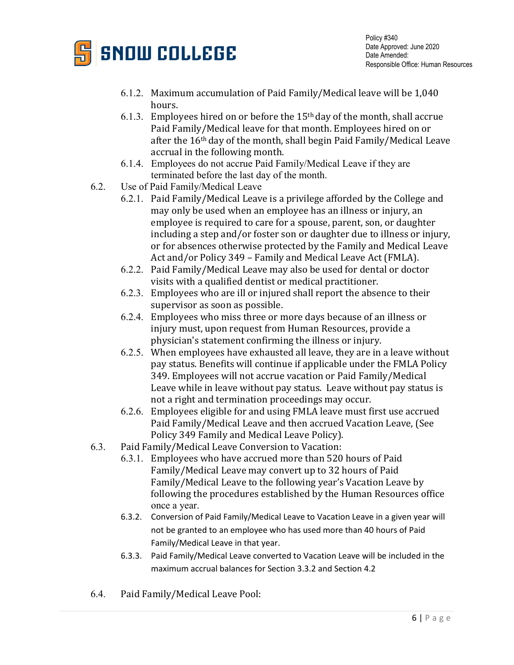

- 6.1.2. Maximum accumulation of Paid Family/Medical leave will be 1,040 hours.
- 6.1.3. Employees hired on or before the  $15<sup>th</sup>$  day of the month, shall accrue Paid Family/Medical leave for that month. Employees hired on or after the 16th day of the month, shall begin Paid Family/Medical Leave accrual in the following month.
- 6.1.4. Employees do not accrue Paid Family/Medical Leave if they are terminated before the last day of the month.
- 6.2. Use of Paid Family/Medical Leave
	- 6.2.1. Paid Family/Medical Leave is a privilege afforded by the College and may only be used when an employee has an illness or injury, an employee is required to care for a spouse, parent, son, or daughter including a step and/or foster son or daughter due to illness or injury, or for absences otherwise protected by the Family and Medical Leave Act and/or Policy 349 – Family and Medical Leave Act (FMLA).
	- 6.2.2. Paid Family/Medical Leave may also be used for dental or doctor visits with a qualified dentist or medical practitioner.
	- 6.2.3. Employees who are ill or injured shall report the absence to their supervisor as soon as possible.
	- 6.2.4. Employees who miss three or more days because of an illness or injury must, upon request from Human Resources, provide a physician's statement confirming the illness or injury.
	- 6.2.5. When employees have exhausted all leave, they are in a leave without pay status. Benefits will continue if applicable under the FMLA Policy 349. Employees will not accrue vacation or Paid Family/Medical Leave while in leave without pay status. Leave without pay status is not a right and termination proceedings may occur.
	- 6.2.6. Employees eligible for and using FMLA leave must first use accrued Paid Family/Medical Leave and then accrued Vacation Leave, (See Policy 349 Family and Medical Leave Policy).
- 6.3. Paid Family/Medical Leave Conversion to Vacation:
	- 6.3.1. Employees who have accrued more than 520 hours of Paid Family/Medical Leave may convert up to 32 hours of Paid Family/Medical Leave to the following year's Vacation Leave by following the procedures established by the Human Resources office once a year.
	- 6.3.2. Conversion of Paid Family/Medical Leave to Vacation Leave in a given year will not be granted to an employee who has used more than 40 hours of Paid Family/Medical Leave in that year.
	- 6.3.3. Paid Family/Medical Leave converted to Vacation Leave will be included in the maximum accrual balances for Section 3.3.2 and Section 4.2
- 6.4. Paid Family/Medical Leave Pool: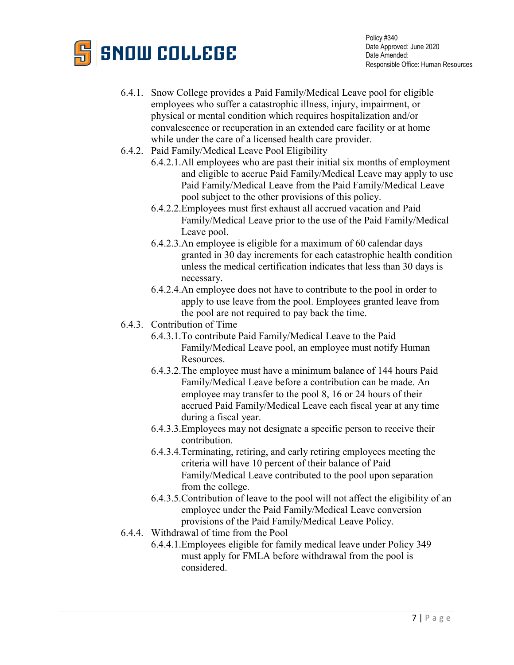

- 6.4.1. Snow College provides a Paid Family/Medical Leave pool for eligible employees who suffer a catastrophic illness, injury, impairment, or physical or mental condition which requires hospitalization and/or convalescence or recuperation in an extended care facility or at home while under the care of a licensed health care provider.
- 6.4.2. Paid Family/Medical Leave Pool Eligibility
	- 6.4.2.1.All employees who are past their initial six months of employment and eligible to accrue Paid Family/Medical Leave may apply to use Paid Family/Medical Leave from the Paid Family/Medical Leave pool subject to the other provisions of this policy.
	- 6.4.2.2.Employees must first exhaust all accrued vacation and Paid Family/Medical Leave prior to the use of the Paid Family/Medical Leave pool.
	- 6.4.2.3.An employee is eligible for a maximum of 60 calendar days granted in 30 day increments for each catastrophic health condition unless the medical certification indicates that less than 30 days is necessary.
	- 6.4.2.4.An employee does not have to contribute to the pool in order to apply to use leave from the pool. Employees granted leave from the pool are not required to pay back the time.
- 6.4.3. Contribution of Time
	- 6.4.3.1.To contribute Paid Family/Medical Leave to the Paid Family/Medical Leave pool, an employee must notify Human Resources.
	- 6.4.3.2.The employee must have a minimum balance of 144 hours Paid Family/Medical Leave before a contribution can be made. An employee may transfer to the pool 8, 16 or 24 hours of their accrued Paid Family/Medical Leave each fiscal year at any time during a fiscal year.
	- 6.4.3.3.Employees may not designate a specific person to receive their contribution.
	- 6.4.3.4.Terminating, retiring, and early retiring employees meeting the criteria will have 10 percent of their balance of Paid Family/Medical Leave contributed to the pool upon separation from the college.
	- 6.4.3.5.Contribution of leave to the pool will not affect the eligibility of an employee under the Paid Family/Medical Leave conversion provisions of the Paid Family/Medical Leave Policy.
- 6.4.4. Withdrawal of time from the Pool
	- 6.4.4.1.Employees eligible for family medical leave under Policy 349 must apply for FMLA before withdrawal from the pool is considered.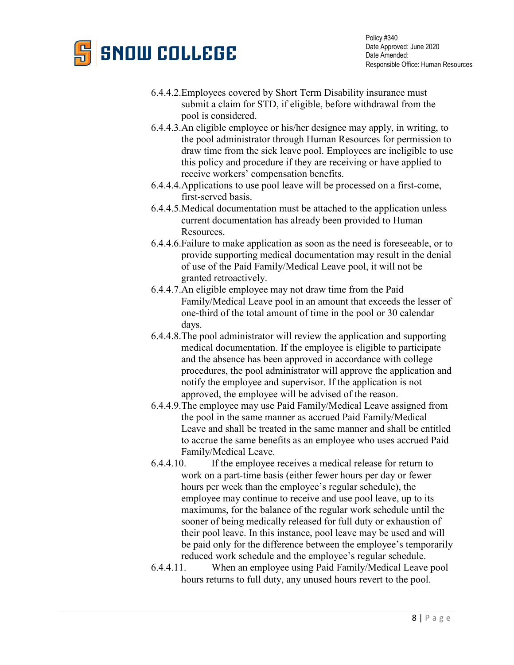# **SNOW COLLEGE**

Policy #340 Date Approved: June 2020 Date Amended: Responsible Office: Human Resources

- 6.4.4.2.Employees covered by Short Term Disability insurance must submit a claim for STD, if eligible, before withdrawal from the pool is considered.
- 6.4.4.3.An eligible employee or his/her designee may apply, in writing, to the pool administrator through Human Resources for permission to draw time from the sick leave pool. Employees are ineligible to use this policy and procedure if they are receiving or have applied to receive workers' compensation benefits.
- 6.4.4.4.Applications to use pool leave will be processed on a first-come, first-served basis.
- 6.4.4.5.Medical documentation must be attached to the application unless current documentation has already been provided to Human Resources.
- 6.4.4.6.Failure to make application as soon as the need is foreseeable, or to provide supporting medical documentation may result in the denial of use of the Paid Family/Medical Leave pool, it will not be granted retroactively.
- 6.4.4.7.An eligible employee may not draw time from the Paid Family/Medical Leave pool in an amount that exceeds the lesser of one-third of the total amount of time in the pool or 30 calendar days.
- 6.4.4.8.The pool administrator will review the application and supporting medical documentation. If the employee is eligible to participate and the absence has been approved in accordance with college procedures, the pool administrator will approve the application and notify the employee and supervisor. If the application is not approved, the employee will be advised of the reason.
- 6.4.4.9.The employee may use Paid Family/Medical Leave assigned from the pool in the same manner as accrued Paid Family/Medical Leave and shall be treated in the same manner and shall be entitled to accrue the same benefits as an employee who uses accrued Paid Family/Medical Leave.
- 6.4.4.10. If the employee receives a medical release for return to work on a part-time basis (either fewer hours per day or fewer hours per week than the employee's regular schedule), the employee may continue to receive and use pool leave, up to its maximums, for the balance of the regular work schedule until the sooner of being medically released for full duty or exhaustion of their pool leave. In this instance, pool leave may be used and will be paid only for the difference between the employee's temporarily reduced work schedule and the employee's regular schedule.
- 6.4.4.11. When an employee using Paid Family/Medical Leave pool hours returns to full duty, any unused hours revert to the pool.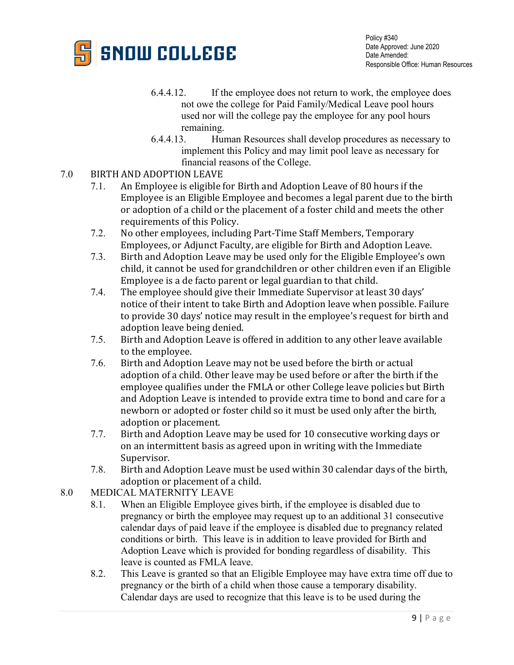

- 6.4.4.12. If the employee does not return to work, the employee does not owe the college for Paid Family/Medical Leave pool hours used nor will the college pay the employee for any pool hours remaining.
- 6.4.4.13. Human Resources shall develop procedures as necessary to implement this Policy and may limit pool leave as necessary for financial reasons of the College.
- 7.0 BIRTH AND ADOPTION LEAVE<br>7.1. An Employee is eligible 1
	- An Employee is eligible for Birth and Adoption Leave of 80 hours if the Employee is an Eligible Employee and becomes a legal parent due to the birth or adoption of a child or the placement of a foster child and meets the other requirements of this Policy.
	- 7.2. No other employees, including Part-Time Staff Members, Temporary Employees, or Adjunct Faculty, are eligible for Birth and Adoption Leave.
	- 7.3. Birth and Adoption Leave may be used only for the Eligible Employee's own child, it cannot be used for grandchildren or other children even if an Eligible Employee is a de facto parent or legal guardian to that child.
	- 7.4. The employee should give their Immediate Supervisor at least 30 days' notice of their intent to take Birth and Adoption leave when possible. Failure to provide 30 days' notice may result in the employee's request for birth and adoption leave being denied.
	- 7.5. Birth and Adoption Leave is offered in addition to any other leave available to the employee.
	- 7.6. Birth and Adoption Leave may not be used before the birth or actual adoption of a child. Other leave may be used before or after the birth if the employee qualifies under the FMLA or other College leave policies but Birth and Adoption Leave is intended to provide extra time to bond and care for a newborn or adopted or foster child so it must be used only after the birth, adoption or placement.
	- 7.7. Birth and Adoption Leave may be used for 10 consecutive working days or on an intermittent basis as agreed upon in writing with the Immediate Supervisor.
	- 7.8. Birth and Adoption Leave must be used within 30 calendar days of the birth, adoption or placement of a child.
- 8.0 MEDICAL MATERNITY LEAVE
	- 8.1. When an Eligible Employee gives birth, if the employee is disabled due to pregnancy or birth the employee may request up to an additional 31 consecutive calendar days of paid leave if the employee is disabled due to pregnancy related conditions or birth. This leave is in addition to leave provided for Birth and Adoption Leave which is provided for bonding regardless of disability. This leave is counted as FMLA leave.
	- 8.2. This Leave is granted so that an Eligible Employee may have extra time off due to pregnancy or the birth of a child when those cause a temporary disability. Calendar days are used to recognize that this leave is to be used during the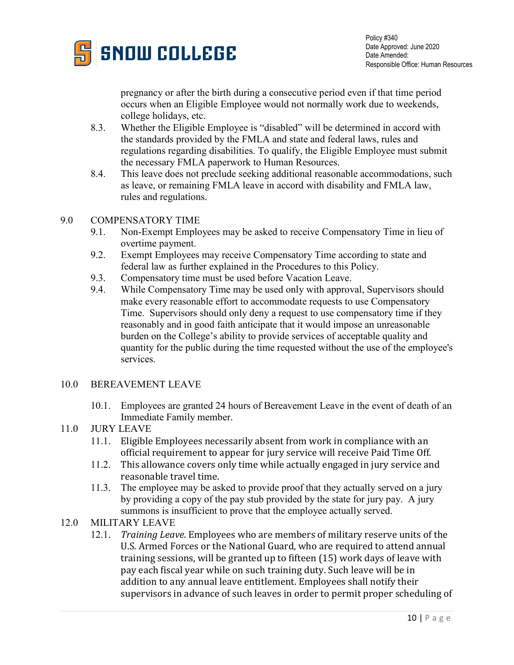

pregnancy or after the birth during a consecutive period even if that time period occurs when an Eligible Employee would not normally work due to weekends, college holidays, etc.

- 8.3. Whether the Eligible Employee is "disabled" will be determined in accord with the standards provided by the FMLA and state and federal laws, rules and regulations regarding disabilities. To qualify, the Eligible Employee must submit the necessary FMLA paperwork to Human Resources.
- 8.4. This leave does not preclude seeking additional reasonable accommodations, such as leave, or remaining FMLA leave in accord with disability and FMLA law, rules and regulations.

### 9.0 COMPENSATORY TIME

- 9.1. Non-Exempt Employees may be asked to receive Compensatory Time in lieu of overtime payment.
- 9.2. Exempt Employees may receive Compensatory Time according to state and federal law as further explained in the Procedures to this Policy.
- 9.3. Compensatory time must be used before Vacation Leave.
- 9.4. While Compensatory Time may be used only with approval, Supervisors should make every reasonable effort to accommodate requests to use Compensatory Time. Supervisors should only deny a request to use compensatory time if they reasonably and in good faith anticipate that it would impose an unreasonable burden on the College's ability to provide services of acceptable quality and quantity for the public during the time requested without the use of the employee's services.

### 10.0 BEREAVEMENT LEAVE

10.1. Employees are granted 24 hours of Bereavement Leave in the event of death of an Immediate Family member.

# 11.0 JURY LEAVE

- 11.1. Eligible Employees necessarily absent from work in compliance with an official requirement to appear for jury service will receive Paid Time Off.
- 11.2. This allowance covers only time while actually engaged in jury service and reasonable travel time.
- 11.3. The employee may be asked to provide proof that they actually served on a jury by providing a copy of the pay stub provided by the state for jury pay. A jury summons is insufficient to prove that the employee actually served.

# 12.0 MILITARY LEAVE

12.1. *Training Leave*. Employees who are members of military reserve units of the U.S. Armed Forces or the National Guard, who are required to attend annual training sessions, will be granted up to fifteen (15) work days of leave with pay each fiscal year while on such training duty. Such leave will be in addition to any annual leave entitlement. Employees shall notify their supervisors in advance of such leaves in order to permit proper scheduling of